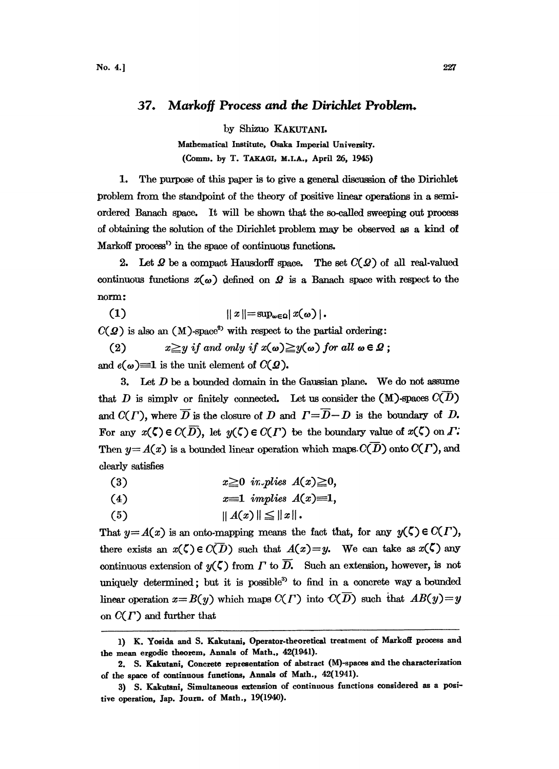## 37. Markoff Process and the Dirichlet Problem.

by Shizuo KAKUTANI.

Mathematical Institute, Osaka Imperial University. (Comm. by T. TAKAGI, M.I.A., April 26, 1945)

The purpose of this paper is to give a general discussion of the Dirichlet 1. problem from the standpoint of the theory of positive linear operations in a semiordered Banach space. It will be shown that the so-called sweeping out process of obtaining the solution of the Dirichlet problem may be observed as a kind of Markoff process<sup>1</sup> in the space of continuous functions.

2. Let  $\Omega$  be a compact Hausdorff space. The set  $C(\Omega)$  of all real-valued continuous functions  $x(\omega)$  defined on  $\Omega$  is a Banach space with respect to the norm:

 $||x|| = \sup_{\omega \in \Omega} |x(\omega)|$ .  $(1)$ 

 $C(\mathcal{Q})$  is also an (M)-space<sup>2</sup> with respect to the partial ordering:

 $x \geq y$  if and only if  $x(\omega) \geq y(\omega)$  for all  $\omega \in \Omega$ ;  $(2)$ 

and  $e(\omega) \equiv 1$  is the unit element of  $C(\mathcal{Q})$ .

3. Let  $D$  be a bounded domain in the Gaussian plane. We do not assume that D is simply or finitely connected. Let us consider the  $(M)$ -spaces  $C(\overline{D})$ and  $C(\Gamma)$ , where  $\overline{D}$  is the closure of D and  $\Gamma = \overline{D} - D$  is the boundary of D. For any  $x(\zeta) \in C(\overline{D})$ , let  $y(\zeta) \in C(\Gamma)$  be the boundary value of  $x(\zeta)$  on  $\Gamma$ . Then  $y = A(x)$  is a bounded linear operation which maps  $C(\overline{D})$  onto  $C(\Gamma)$ , and clearly satisfies

| (3) |  | $x \geq 0$ in plies $A(x) \geq 0$ , |
|-----|--|-------------------------------------|
|     |  |                                     |

- $x=1$  implies  $A(x)=1$ ,  $(4)$
- $||A(x)|| \leq ||x||$ .  $(5)$

That  $y = A(x)$  is an onto-mapping means the fact that, for any  $y(\zeta) \in C(\Gamma)$ , there exists an  $x(\zeta) \in C(D)$  such that  $A(x) = y$ . We can take as  $x(\zeta)$  any continuous extension of  $\psi(\zeta)$  from  $\Gamma$  to  $\overline{D}$ . Such an extension, however, is not uniquely determined; but it is possible<sup>3</sup> to find in a concrete way a bounded linear operation  $x = B(y)$  which maps  $C(\Gamma)$  into  $C(\overline{D})$  such that  $AB(y) = y$ on  $C(\Gamma)$  and further that

<sup>1)</sup> K. Yosida and S. Kakutani, Operator-theoretical treatment of Markoff process and the mean ergodic theorem, Annals of Math., 42(1941).

<sup>2.</sup> S. Kakutani, Concrete representation of abstract (M)-spaces and the characterization of the space of continuous functions, Annals of Math., 42(1941).

<sup>3)</sup> S. Kakutani, Simultaneous extension of continuous functions considered as a positive operation, Jap. Journ. of Math., 19(1940).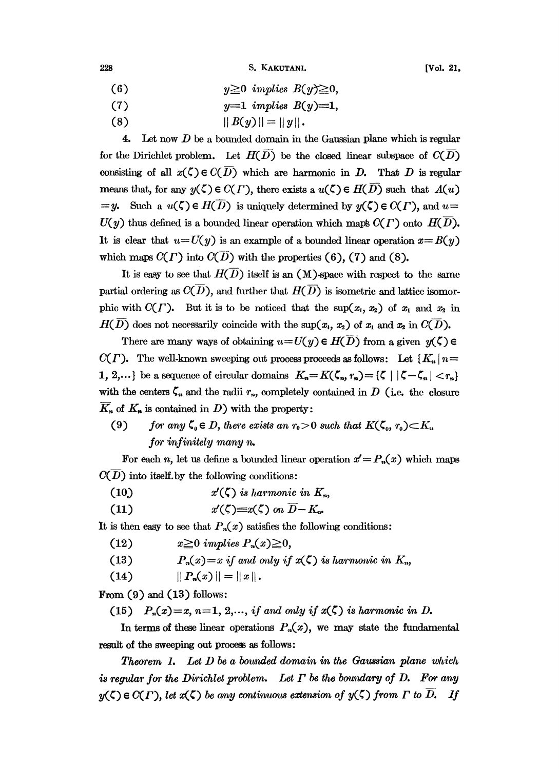228 S. KAKUTANI. [Vol. 21,

- (6)  $y \ge 0$  implies  $B(y) \ge 0$ ,
- (7)  $y=1$  implies  $B(y)=1$ ,
- (8)  $||B(y)|| = ||y||.$

4. Let now  $D$  be a bounded domain in the Gaussian plane which is regular for the Dirichlet problem. Let  $H(\overline{D})$  be the closed linear subspace of  $C(\overline{D})$ consisting of all  $x(\zeta) \in C(\overline{D})$  which are harmonic in D. That D is regular means that, for any  $y(\zeta) \in C(\Gamma)$ , there exists a  $u(\zeta) \in H(D)$  such that  $A(u)$  $=y.$  Such a  $u(\zeta) \in H(D)$  is uniquely determined by  $y(\zeta) \in C(\Gamma)$ , and  $u=$  $U(y)$  thus defined is a bounded linear operation which maps  $C(\Gamma)$  onto  $H(D)$ . It is clear that  $u=U(y)$  is an example of a bounded linear operation  $x=B(y)$ which maps  $C(\Gamma)$  into  $C(\overline{D})$  with the properties (6), (7) and (8).

It is easy to see that  $H(\overline{D})$  itself is an (M)-space with respect to the same partial ordering as  $C(D)$ , and further that  $H(D)$  is isometric and lattice isomorphic with  $C(\Gamma)$ . But it is to be noticed that the sup $(x_1, x_2)$  of  $x_1$  and  $x_2$  in  $H(D)$  does not necessarily coincide with the sup $(x_1, x_2)$  of  $x_1$  and  $x_2$  in  $C(D)$ .

There are many ways of obtaining  $u=U(y) \in H(\overline{D})$  from a given  $y(\zeta) \in$  $C(\Gamma)$ . The well-known sweeping out process proceeds as follows: Let  ${K_n | n}$ 1, 2,...} be a sequence of circular domains  $K_n = K(\zeta_n, r_n) = {\zeta \mid |\zeta - \zeta_n| < r_n}$ <br>with the centers  $\zeta_n$  and the radii  $r_n$ , completely contained in D (i.e. the closure  $\overline{K}_n$  of  $K_n$  is contained in D) with the property: with the centers  $\zeta_n$  and the radii  $r_n$ , completely contained in D (i.e. the closure  $K_n$  of  $K_n$  is contained in D) with the property:

(9) for any  $\zeta_{0} \in D$ , there exists an  $r_{0} > 0$  such that  $K(\zeta_{0}, r_{0}) \subset K_{n}$ for infinitely many  $n$ .

For each *n*, let us define a bounded linear operation  $x' = P_n(x)$  which maps.<br>
into itself by the following conditions:  $C(D)$  into itself, by the following conditions:

- (10)  $x'(\zeta)$  is harmonic in  $K_n$ ,
- (11)  $x'(\zeta) = x(\zeta)$  on  $\overline{D} K_n$ .

It is then easy to see that  $P_n(x)$  satisfies the following conditions:

- (12)  $x \ge 0$  implies  $P_n(x) \ge 0$ ,
- (13)  $P_n(x)=x$  if and only if  $x(\zeta)$  is harmonic in  $K_n$ ,
- (14)  $\| P_n(x) \| = \| x \|$ .

From  $(9)$  and  $(13)$  follows:

(15)  $P_n(x)=x$ ,  $n=1, 2,...,$  if and only if  $x(\zeta)$  is harmonic in D.

In terms of these linear operations  $P_n(x)$ , we may state the fundamental result of the sweeping out process as follows:

**Theorem 1.** Let  $D$  be a bounded domain in the Gaussian plane which is regular for the Dirichlet problem. Let  $\Gamma$  be the boundary of D. For any  $y(\zeta) \in C(\Gamma)$ , let  $x(\zeta)$  be any continuous extension of  $y(\zeta)$  from  $\Gamma$  to  $\overline{D}$ . If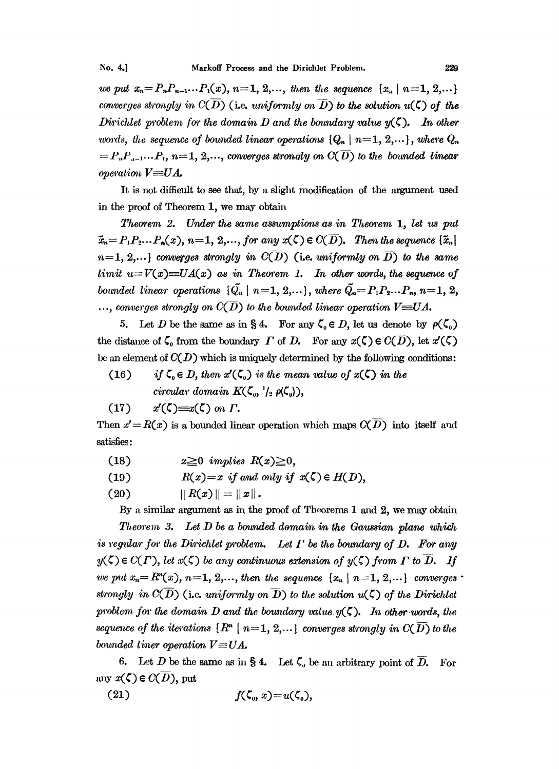we put  $x_n = P_n P_{n-1} \ldots P_1(x)$ ,  $n = 1, 2, \ldots$ , then the sequence  $\{x_n \mid n = 1, 2, \ldots\}$ converges strongly in  $C(D)$  (i.e. uniformly on  $\overline{D}$ ) to the solution  $u(\zeta)$  of the Dirichlet problem for the domain D and the boundary value  $y(\zeta)$ . In other words, the sequence of bounded linear operations  $\{Q_n \mid n=1, 2, ...\}$ , where  $Q_n$  $= P_n P_{n-1} \ldots P_1$ ,  $n=1, 2, \ldots$ , converges strongly on  $C(\overline{D})$  to the bounded linear operation  $V \equiv UA$ .

It is not difficult to see that, by a slight modification of the argument used in the proof of Theorem 1, we may obtain

Theorem 2. Under the same assumptions as in Theorem 1, let us put  $\tilde{x}_n = P_1 P_2 \dots P_n(x)$ ,  $n = 1, 2, \dots$ , for any  $x(\zeta) \in C(\overline{D})$ . Then the sequence  $\{\tilde{x}_n\}$  $n=1, 2,...$ } converges strongly in  $C(\overline{D})$  (i.e. uniformly on  $\overline{D}$ ) to the same limit  $u = V(x) \equiv UA(x)$  as in Theorem 1. In other words, the sequence of bounded linear operations  $\{\tilde{Q}_n \mid n=1, 2, ...\}$ , where  $\tilde{Q}_n = P_1 P_2 ... P_n$ ,  $n=1, 2, ...$ ..., converges strongly on  $C(D)$  to the bounded linear operation  $V \equiv UA$ .

5. Let D be the same as in § 4. For any  $\zeta_0 \in D$ , let us denote by  $\rho(\zeta_0)$ the distance of  $\zeta_0$  from the boundary  $\Gamma$  of  $D$ . For any  $x(\zeta) \in C(\overline{D})$ , let  $x'(\zeta)$ be an element of  $C(\overline{D})$  which is uniquely determined by the following conditions:

if  $\zeta_0 \in D$ , then  $x'(\zeta_0)$  is the mean value of  $x(\zeta)$  in the  $(16)$ circular domain  $K(\zeta_0, \frac{1}{2} \rho(\zeta_0)),$ 

$$
(17) \t x'(\zeta) = x(\zeta) \t on \t \Gamma.
$$

Then  $x' = R(x)$  is a bounded linear operation which maps  $C(\overline{D})$  into itself and satisfies:

- $(18)$  $x \ge 0$  implies  $R(x) \ge 0$ ,
- $R(x)=x$  if and only if  $x(\zeta) \in H(D)$ ,  $(19)$
- $(20)$  $|| R(x) || = || x ||.$

By a similar argument as in the proof of Theorems 1 and 2, we may obtain

Theorem 3. Let  $D$  be a bounded domain in the Gaussian plane which is regular for the Dirichlet problem. Let  $\Gamma$  be the boundary of  $D$ . For any  $y(\zeta) \in C(\Gamma)$ , let  $x(\zeta)$  be any continuous extension of  $y(\zeta)$  from  $\Gamma$  to  $\overline{D}$ . If we put  $x_n = R^{n}(x)$ ,  $n = 1, 2,...$ , then the sequence  $\{x_n | n = 1, 2,...\}$  converges strongly in  $C(D)$  (i.e. uniformly on  $\overline{D}$ ) to the solution  $u(\zeta)$  of the Dirichlet problem for the domain D and the boundary value  $y(\zeta)$ . In other words, the sequence of the iterations  $\{R^n \mid n=1, 2,...\}$  converges strongly in  $C(\overline{D})$  to the bounded liner operation  $V = UA$ .

6. Let D be the same as in § 4. Let  $\zeta$ , be an arbitrary point of  $\overline{D}$ . For any  $x(\zeta) \in C(D)$ , put

$$
(21) \t\t f(\zeta_0, x) = u(\zeta_0),
$$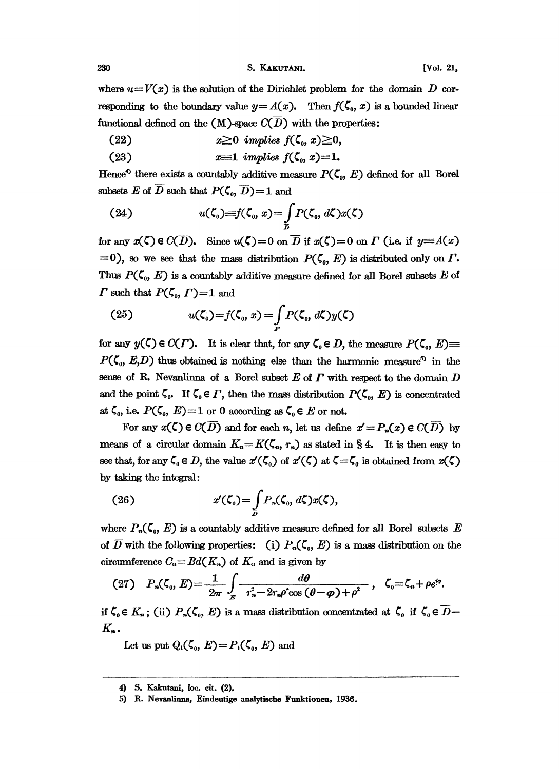where  $u=V(x)$  is the solution of the Dirichlet problem for the domain D corresponding to the boundary value  $y = A(x)$ . Then  $f(\zeta_0, x)$  is a bounded linear functional defined on the (M)-space  $C(\overline{D})$  with the properties:

- (22)  $x \ge 0$  implies  $f(\zeta_0, x) \ge 0$ ,
- $(23)$

Hence<sup>4</sup> there exists a countably additive measure  $P(\zeta_o, E)$  defined for all Borel subsets E of  $\overline{D}$  such that  $P(\zeta_0, \overline{D})=1$  and

(24) 
$$
u(\zeta_0)=f(\zeta_0,x)=\int\limits_{\overline{\mathcal{D}}}P(\zeta_0,d\zeta)x(\zeta)
$$

for any  $x(\zeta) \in C(\overline{D})$ . Since  $u(\zeta)=0$  on  $\overline{D}$  if  $x(\zeta)=0$  on  $\Gamma$  (i.e. if  $y=A(x)$ )  $=0$ ), so we see that the mass distribution  $P(\zeta_o, E)$  is distributed only on  $\Gamma$ . Thus  $P(\zeta_0, E)$  is a countably additive measure defined for all Borel subsets E of  $\Gamma$  such that  $P(\zeta_0, \Gamma) = 1$  and

(25) 
$$
u(\zeta_0) = f(\zeta_0, x) = \int\limits_F P(\zeta_0, d\zeta) y(\zeta)
$$

for any  $y(\zeta) \in C(\Gamma)$ . It is clear that, for any  $\zeta_0 \in D$ , the measure  $P(\zeta_0, E) \equiv$  $P(\zeta_0, E, D)$  thus obtained is nothing else than the harmonic measure<sup>5</sup> in the sense of R. Nevanlinna of a Borel subset  $E$  of  $\Gamma$  with respect to the domain  $D$ and the point  $\zeta_{0}$ . If  $\zeta_{0} \in \Gamma$ , then the mass distribution  $P(\zeta_{0}, E)$  is concentrated at  $\zeta_0$ , i.e.  $P(\zeta_0, E)=1$  or 0 according as  $\zeta_0 \in E$  or not.

For any  $x(\zeta) \in C(\overline{D})$  and for each n, let us define  $x' = P_n(x) \in C(\overline{D})$  by means of a circular domain  $K_n=K(\zeta_n, r_n)$  as stated in § 4. It is then easy to see that, for any  $\zeta_0 \in D$ , the value  $x'(\zeta_0)$  of  $x'(\zeta)$  at  $\zeta = \zeta_0$  is obtained from  $x(\zeta)$ by taking the integral:

(26) 
$$
x'(\zeta_0) = \int\limits_{\bar{D}} P_n(\zeta_0, d\zeta) x(\zeta),
$$

where  $P_n(\zeta_0, E)$  is a countably additive measure defined for all Borel subsets E of  $\overline{D}$  with the following properties: (i)  $P_n(\zeta_0, E)$  is a mass distribution on the circumference  $C_n=Ed(K_n)$  of  $K_n$  and is given by

(27) 
$$
P_n(\zeta_0, E) = \frac{1}{2\pi} \int_{E} \frac{d\theta}{r_n^2 - 2r_n \rho^* \cos(\theta - \varphi) + \rho^2}, \quad \zeta_0 = \zeta_n + \rho e^{i\varphi}.
$$

$$
\zeta_0 \in K_n; \text{ (ii) } P_n(\zeta_0, E) \text{ is a mass distribution concentrated at } \zeta_0 \text{ if } \zeta_0 \in K_n.
$$

if  $\zeta_0 \in K_n$ ; (ii)  $P_n(\zeta_0, E)$  is a mass distribution concentrated at  $\zeta_0$  if  $\zeta_0 \in \overline{D}$  $K_{n}$ .

Let us put  $Q_1(\zeta_0, E) = P_1(\zeta_0, E)$  and

<sup>4)</sup> S. Kakutani, loc. cit. (2).

<sup>5)</sup> R. Nevanlinna, Eindeutige analytische Funktionen, 1936.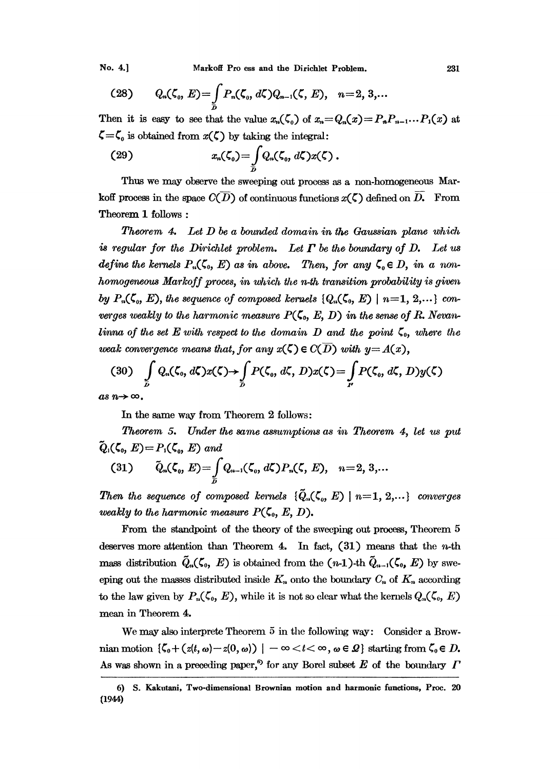No. 4.1

(28) 
$$
Q_n(\zeta_0, E) = \int\limits_{D} P_n(\zeta_0, d\zeta) Q_{n-1}(\zeta, E), \quad n = 2, 3,...
$$

Then it is easy to see that the value  $x_n(\zeta_0)$  of  $x_n = Q_n(x) = P_n P_{n-1} \dots P_1(x)$  at  $\zeta = \zeta_0$  is obtained from  $x(\zeta)$  by taking the integral:

$$
(29) \t\t xn(\zeta0)=\int\limits_{D}Qn(\zeta0, d\zeta)x(\zeta).
$$

Thus we may observe the sweeping out process as a non-homogeneous Markoff process in the space  $C(\overline{D})$  of continuous functions  $x(\zeta)$  defined on  $D$ . From Theorem 1 follows:

**Theorem 4.** Let  $D$  be a bounded domain in the Gaussian plane which is regular for the Dirichlet problem. Let  $\Gamma$  be the boundary of D. Let us define the kernels  $P_n(\zeta_0, E)$  as in above. Then, for any  $\zeta_0 \in D$ , in a nonhomogeneous Markoff proces, in which the n-th transition probability is given by  $P_n(\zeta_0, E)$ , the sequence of composed kernels  $\{Q_n(\zeta_0, E) \mid n=1, 2, ...\}$  converges weakly to the harmonic measure  $P(\zeta_0, E, D)$  in the sense of R. Nevanlinna of the set E with respect to the domain D and the point  $\zeta_0$ , where the weak convergence means that, for any  $x(\zeta) \in C(D)$  with  $y = A(x)$ ,

$$
(30) \quad \int\limits_{D} Q_n(\zeta_0, d\zeta) x(\zeta) \rightarrow \int\limits_{D} P(\zeta_0, d\zeta, D) x(\zeta) = \int\limits_{P} P(\zeta_0, d\zeta, D) y(\zeta)
$$

as  $n \rightarrow \infty$ .

In the same way from Theorem 2 follows:

Theorem 5. Under the same assumptions as in Theorem 4, let us put  $\widetilde{Q}_1(\zeta_0, E) = P_1(\zeta_0, E)$  and

(31) 
$$
\tilde{Q}_n(\zeta_0, E) = \int\limits_{D} Q_{n-1}(\zeta_0, d\zeta) P_n(\zeta, E), \quad n = 2, 3,...
$$

Then the sequence of composed kernels  $\{\tilde{Q}_n(\zeta_o, E) \mid n=1, 2, ...\}$  converges weakly to the harmonic measure  $P(\zeta_0, E, D)$ .

From the standpoint of the theory of the sweeping out process, Theorem 5 deserves more attention than Theorem 4. In fact,  $(31)$  means that the *n*-th mass distribution  $\tilde{Q}_n(\zeta_0, E)$  is obtained from the  $(n-1)$ -th  $\tilde{Q}_{n-1}(\zeta_0, E)$  by sweeping out the masses distributed inside  $K_n$  onto the boundary  $C_n$  of  $K_n$  according to the law given by  $P_n(\zeta_0, E)$ , while it is not so clear what the kernels  $Q_n(\zeta_0, E)$ mean in Theorem 4.

We may also interprete Theorem 5 in the following way: Consider a Brownian motion  $\{\zeta_0 + (z(t, \omega) - z(0, \omega)) \mid -\infty < t < \infty, \omega \in \mathcal{Q}\}\)$  starting from  $\zeta_0 \in D$ . As was shown in a preceding paper,<sup>6</sup> for any Borel subset E of the boundary  $\Gamma$ 

<sup>6)</sup> S. Kakutani, Two-dimensional Brownian motion and harmonic functions, Proc. 20  $(1944)$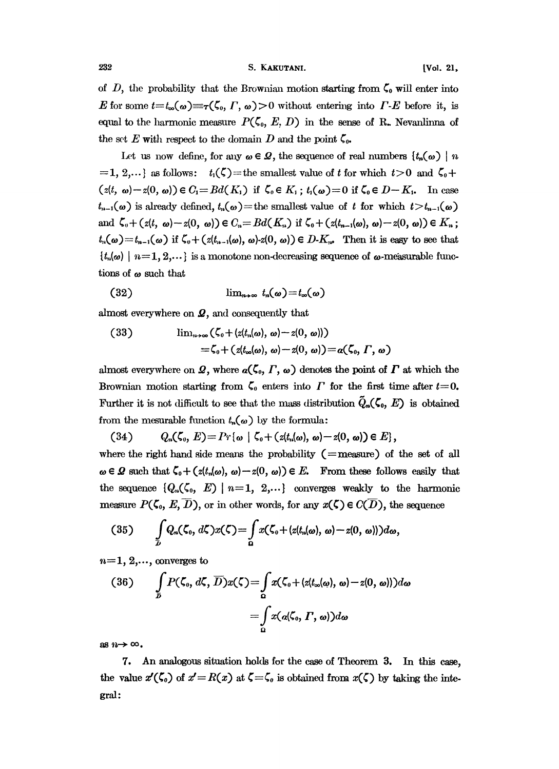of D, the probability that the Brownian motion starting from  $\zeta_0$  will enter into E for some  $t=t_{\infty}(\omega)=\tau(\zeta_0, \Gamma, \omega)>0$  without entering into  $\Gamma$ -E before it, is equal to the harmonic measure  $P(\zeta_0, E, D)$  in the sense of R. Nevanlinna of the set E with respect to the domain D and the point  $\zeta_{0}$ .

Let us now define, for any  $\omega \in \mathcal{Q}$ , the sequence of real numbers  $\{t_n(\omega)\mid n\}$  $i=1, 2,...$  as follows:  $t_1(\zeta)=$  the smallest value of t for which  $t>0$  and  $\zeta_0+$  $(z(t, \omega)-z(0, \omega))\in C_1= Bd(K_1)$  if  $\zeta_0\in K_1$ ;  $t_1(\omega)=0$  if  $\zeta_0\in D-K_1$ . In case  $t_{n-1}(\omega)$  is already defined,  $t_n(\omega)$  = the smallest value of t for which  $t > t_{n-1}(\omega)$ and  $\zeta_{\theta} + (z(t, \omega)-z(0, \omega)) \in C_n = Bd(K_n)$  if  $\zeta_{\theta} + (z(t_{n-1}(\omega), \omega)-z(0, \omega)) \in K_n$ ;  $t_n(\omega)=t_{n-1}(\omega)$  if  $\zeta_0+(z(t_{n-1}(\omega), \omega)-z(0, \omega))\in D-K_n$ . Then it is easy to see that  $\{t_n(\omega) \mid n=1, 2,...\}$  is a monotone non-decreasing sequence of  $\omega$ -measurable functions of  $\omega$  such that

$$
(32) \qquad \qquad \lim_{n\to\infty} t_n(\omega) = t_\infty(\omega)
$$

almost everywhere on  $\mathcal{Q}$ , and consequently that

(33) 
$$
\lim_{n\to\infty} (\zeta_0 + (z(t_n(\omega), \omega) - z(0, \omega)))
$$

$$
= \zeta_0 + (z(t_\infty(\omega), \omega) - z(0, \omega)) = \alpha(\zeta_0, \Gamma, \omega)
$$

almost everywhere on  $\mathcal{Q}$ , where  $a(\zeta_0, \Gamma, \omega)$  denotes the point of  $\Gamma$  at which the Brownian motion starting from  $\zeta_0$  enters into  $\Gamma$  for the first time after  $t=0$ . Further it is not difficult to see that the mass distribution  $\tilde{Q}_n(\zeta_0, E)$  is obtained from the mesurable function  $t_n(\omega)$  by the formula:

(34) 
$$
Q_n(\zeta_0, E) = Pr\{\omega \mid \zeta_0 + (z(t_n(\omega), \omega) - z(0, \omega)) \in E\},\
$$

where the right hand side means the probability  $(=$  measure) of the set of all  $\omega \in \mathcal{Q}$  such that  $\zeta_0 + (z(t_n(\omega), \omega) - z(0, \omega)) \in E$ . From these follows easily that the sequence  ${Q_n(\zeta_0, E) \mid n=1, 2,...}$  converges weakly to the harmonic measure  $P(\zeta_0, E, D)$ , or in other words, for any  $x(\zeta) \in C(D)$ , the sequence

$$
(35) \qquad \int\limits_{D} Q_n(\zeta_0, d\zeta) x(\zeta) = \int\limits_{\Omega} x(\zeta_0 + (z(t_n(\omega), \omega) - z(0, \omega))) d\omega,
$$

 $n=1, 2,...$ , converges to

(36) 
$$
\int_{D} P(\zeta_0, d\zeta, \overline{D}) x(\zeta) = \int_{\Omega} x(\zeta_0 + (z(t_{\infty}(\omega), \omega) - z(0, \omega))) d\omega
$$

$$
= \int_{\Omega} x(\alpha(\zeta_0, \Gamma, \omega)) d\omega
$$

as  $n \rightarrow \infty$ .

7. An analogous situation holds for the case of Theorem 3. In this case, the value  $x'(\zeta_0)$  of  $x'=R(x)$  at  $\zeta=\zeta_0$  is obtained from  $x(\zeta)$  by taking the integral: